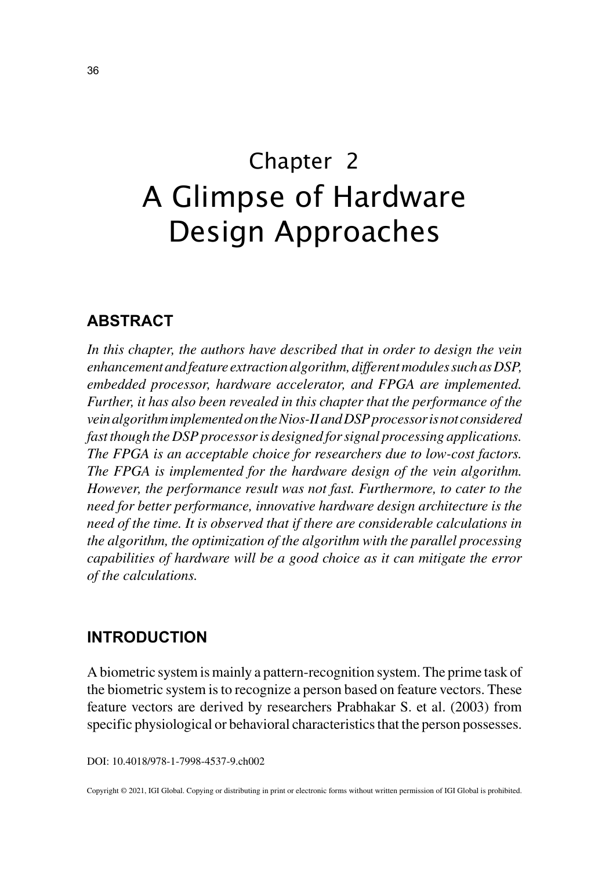# Chapter 2 A Glimpse of Hardware Design Approaches

# **ABSTRACT**

*In this chapter, the authors have described that in order to design the vein enhancement and feature extraction algorithm, different modules such as DSP, embedded processor, hardware accelerator, and FPGA are implemented. Further, it has also been revealed in this chapter that the performance of the vein algorithm implemented on the Nios-II and DSP processor is not considered fast though the DSP processor is designed for signal processing applications. The FPGA is an acceptable choice for researchers due to low-cost factors. The FPGA is implemented for the hardware design of the vein algorithm. However, the performance result was not fast. Furthermore, to cater to the need for better performance, innovative hardware design architecture is the need of the time. It is observed that if there are considerable calculations in the algorithm, the optimization of the algorithm with the parallel processing capabilities of hardware will be a good choice as it can mitigate the error of the calculations.*

# **INTRODUCTION**

A biometric system is mainly a pattern-recognition system. The prime task of the biometric system is to recognize a person based on feature vectors. These feature vectors are derived by researchers Prabhakar S. et al. (2003) from specific physiological or behavioral characteristics that the person possesses.

DOI: 10.4018/978-1-7998-4537-9.ch002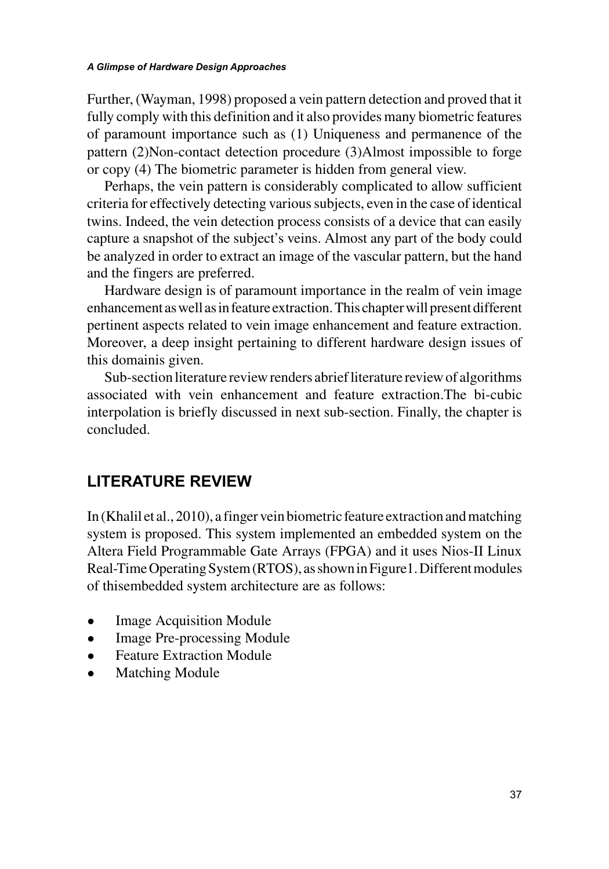Further, (Wayman, 1998) proposed a vein pattern detection and proved that it fully comply with this definition and it also provides many biometric features of paramount importance such as (1) Uniqueness and permanence of the pattern (2)Non-contact detection procedure (3)Almost impossible to forge or copy (4) The biometric parameter is hidden from general view.

Perhaps, the vein pattern is considerably complicated to allow sufficient criteria for effectively detecting various subjects, even in the case of identical twins. Indeed, the vein detection process consists of a device that can easily capture a snapshot of the subject's veins. Almost any part of the body could be analyzed in order to extract an image of the vascular pattern, but the hand and the fingers are preferred.

Hardware design is of paramount importance in the realm of vein image enhancement as well as in feature extraction. This chapter will present different pertinent aspects related to vein image enhancement and feature extraction. Moreover, a deep insight pertaining to different hardware design issues of this domainis given.

Sub-section literature review renders abrief literature review of algorithms associated with vein enhancement and feature extraction.The bi-cubic interpolation is briefly discussed in next sub-section. Finally, the chapter is concluded.

# **LITERATURE REVIEW**

In (Khalil et al., 2010), a finger vein biometric feature extraction and matching system is proposed. This system implemented an embedded system on the Altera Field Programmable Gate Arrays (FPGA) and it uses Nios-II Linux Real-Time Operating System (RTOS), as shown in Figure1. Different modules of thisembedded system architecture are as follows:

- Image Acquisition Module
- Image Pre-processing Module
- Feature Extraction Module
- **Matching Module**